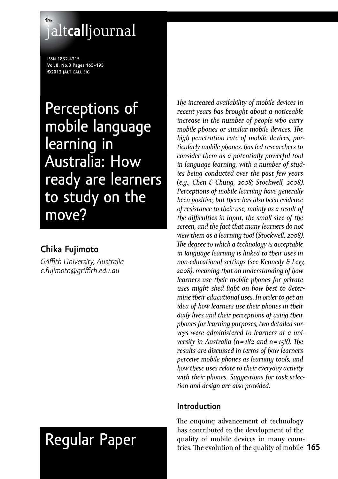# **the** jalt**call**journal

**issn 1832-4215 Vol. 8, No.3 Pages 165–195 ©2012 jalt call sig**

Perceptions of mobile language learning in Australia: How ready are learners to study on the move?

# **Chika Fujimoto**

*Griffith University, Australia c.fujimoto@griffith.edu.au*

# Regular Paper

*The increased availability of mobile devices in recent years has brought about a noticeable increase in the number of people who carry mobile phones or similar mobile devices. The high penetration rate of mobile devices, particularly mobile phones, has led researchers to consider them as a potentially powerful tool in language learning, with a number of studies being conducted over the past few years (e.g., Chen & Chung, 2008; Stockwell, 2008). Perceptions of mobile learning have generally been positive, but there has also been evidence of resistance to their use, mainly as a result of the difficulties in input, the small size of the screen, and the fact that many learners do not view them as a learning tool (Stockwell, 2008). The degree to which a technology is acceptable in language learning is linked to their uses in non-educational settings (see Kennedy & Levy, 2008), meaning that an understanding of how learners use their mobile phones for private uses might shed light on how best to determine their educational uses. In order to get an idea of how learners use their phones in their daily lives and their perceptions of using their phones for learning purposes, two detailed surveys were administered to learners at a university in Australia (n = 182 and n = 158). The results are discussed in terms of how learners perceive mobile phones as learning tools, and how these uses relate to their everyday activity with their phones. Suggestions for task selection and design are also provided.*

# **Introduction**

**165** tries. The evolution of the quality of mobile The ongoing advancement of technology has contributed to the development of the quality of mobile devices in many coun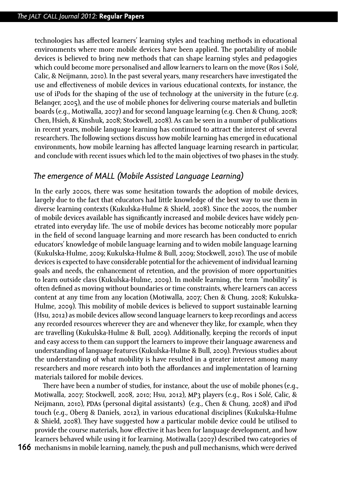technologies has affected learners' learning styles and teaching methods in educational environments where more mobile devices have been applied. The portability of mobile devices is believed to bring new methods that can shape learning styles and pedagogies which could become more personalised and allow learners to learn on the move (Ros i Solé, Calic, & Neijmann, 2010). In the past several years, many researchers have investigated the use and effectiveness of mobile devices in various educational contexts, for instance, the use of iPods for the shaping of the use of technology at the university in the future (e.g. Belanger, 2005), and the use of mobile phones for delivering course materials and bulletin boards (e.g., Motiwalla, 2007) and for second language learning (e.g. Chen & Chung, 2008; Chen, Hsieh, & Kinshuk, 2008; Stockwell, 2008). As can be seen in a number of publications in recent years, mobile language learning has continued to attract the interest of several researchers. The following sections discuss how mobile learning has emerged in educational environments, how mobile learning has affected language learning research in particular, and conclude with recent issues which led to the main objectives of two phases in the study.

## *The emergence of MALL (Mobile Assisted Language Learning)*

In the early 2000s, there was some hesitation towards the adoption of mobile devices, largely due to the fact that educators had little knowledge of the best way to use them in diverse learning contexts (Kukulska-Hulme & Shield, 2008). Since the 2000s, the number of mobile devices available has significantly increased and mobile devices have widely penetrated into everyday life. The use of mobile devices has become noticeably more popular in the field of second language learning and more research has been conducted to enrich educators' knowledge of mobile language learning and to widen mobile language learning (Kukulska-Hulme, 2009; Kukulska-Hulme & Bull, 2009; Stockwell, 2010). The use of mobile devices is expected to have considerable potential for the achievement of individual learning goals and needs, the enhancement of retention, and the provision of more opportunities to learn outside class (Kukulska-Hulme, 2009). In mobile learning, the term "mobility" is often defined as moving without boundaries or time constraints, where learners can access content at any time from any location (Motiwalla, 2007; Chen & Chung, 2008; Kukulska-Hulme, 2009). This mobility of mobile devices is believed to support sustainable learning (Hsu, 2012) as mobile devices allow second language learners to keep recordings and access any recorded resources wherever they are and whenever they like, for example, when they are travelling (Kukulska-Hulme & Bull, 2009). Additionally, keeping the records of input and easy access to them can support the learners to improve their language awareness and understanding of language features (Kukulska-Hulme & Bull, 2009). Previous studies about the understanding of what mobility is have resulted in a greater interest among many researchers and more research into both the affordances and implementation of learning materials tailored for mobile devices.

There have been a number of studies, for instance, about the use of mobile phones (e.g., Motiwalla, 2007; Stockwell, 2008, 2010; Hsu, 2012), MP3 players (e.g., Ros i Solé, Calic, & Neijmann, 2010), PDAs (personal digital assistants) (e.g., Chen & Chung, 2008) and iPod touch (e.g., Oberg & Daniels, 2012), in various educational disciplines (Kukulska-Hulme & Shield, 2008). They have suggested how a particular mobile device could be utilised to provide the course materials, how effective it has been for language development, and how learners behaved while using it for learning. Motiwalla (2007) described two categories of

**166** mechanisms in mobile learning, namely, the push and pull mechanisms, which were derived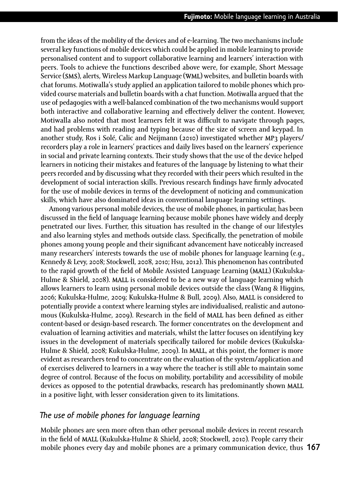from the ideas of the mobility of the devices and of e-learning. The two mechanisms include several key functions of mobile devices which could be applied in mobile learning to provide personalised content and to support collaborative learning and learners' interaction with peers. Tools to achieve the functions described above were, for example, Short Message Service (SMS), alerts, Wireless Markup Language (WML) websites, and bulletin boards with chat forums. Motiwalla's study applied an application tailored to mobile phones which provided course materials and bulletin boards with a chat function. Motiwalla argued that the use of pedagogies with a well-balanced combination of the two mechanisms would support both interactive and collaborative learning and effectively deliver the content. However, Motiwalla also noted that most learners felt it was difficult to navigate through pages, and had problems with reading and typing because of the size of screen and keypad. In another study, Ros i Solé, Calic and Neijmann (2010) investigated whether MP3 players/ recorders play a role in learners' practices and daily lives based on the learners' experience in social and private learning contexts. Their study shows that the use of the device helped learners in noticing their mistakes and features of the language by listening to what their peers recorded and by discussing what they recorded with their peers which resulted in the development of social interaction skills. Previous research findings have firmly advocated for the use of mobile devices in terms of the development of noticing and communication skills, which have also dominated ideas in conventional language learning settings.

Among various personal mobile devices, the use of mobile phones, in particular, has been discussed in the field of language learning because mobile phones have widely and deeply penetrated our lives. Further, this situation has resulted in the change of our lifestyles and also learning styles and methods outside class. Specifically, the penetration of mobile phones among young people and their significant advancement have noticeably increased many researchers' interests towards the use of mobile phones for language learning (e.g., Kennedy & Levy, 2008; Stockwell, 2008, 2010; Hsu, 2012). This phenomenon has contributed to the rapid growth of the field of Mobile Assisted Language Learning (MALL) (Kukulska-Hulme & Shield, 2008). MALL is considered to be a new way of language learning which allows learners to learn using personal mobile devices outside the class (Wang & Higgins, 2006; Kukulska-Hulme, 2009; Kukulska-Hulme & Bull, 2009). Also, MALL is considered to potentially provide a context where learning styles are individualised, realistic and autonomous (Kukulska-Hulme, 2009). Research in the field of MALL has been defined as either content-based or design-based research. The former concentrates on the development and evaluation of learning activities and materials, whilst the latter focuses on identifying key issues in the development of materials specifically tailored for mobile devices (Kukulska-Hulme & Shield, 2008; Kukulska-Hulme, 2009). In MALL, at this point, the former is more evident as researchers tend to concentrate on the evaluation of the system/application and of exercises delivered to learners in a way where the teacher is still able to maintain some degree of control. Because of the focus on mobility, portability and accessibility of mobile devices as opposed to the potential drawbacks, research has predominantly shown MALL in a positive light, with lesser consideration given to its limitations.

## *The use of mobile phones for language learning*

**167** mobile phones every day and mobile phones are a primary communication device, thus Mobile phones are seen more often than other personal mobile devices in recent research in the field of MALL (Kukulska-Hulme & Shield, 2008; Stockwell, 2010). People carry their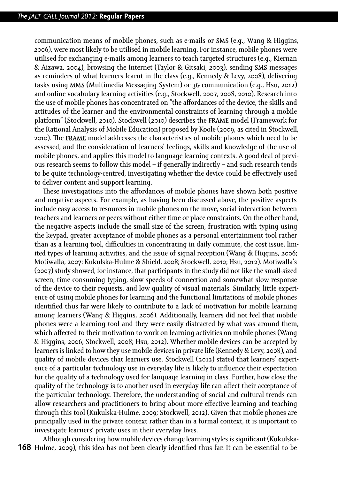communication means of mobile phones, such as e-mails or SMS (e.g., Wang & Higgins, 2006), were most likely to be utilised in mobile learning. For instance, mobile phones were utilised for exchanging e-mails among learners to teach targeted structures (e.g., Kiernan & Aizawa, 2004), browsing the Internet (Taylor & Gitsaki, 2003), sending SMS messages as reminders of what learners learnt in the class (e.g., Kennedy & Levy, 2008), delivering tasks using MMS (Multimedia Messaging System) or 3G communication (e.g., Hsu, 2012) and online vocabulary learning activities (e.g., Stockwell, 2007, 2008, 2010). Research into the use of mobile phones has concentrated on "the affordances of the device, the skills and attitudes of the learner and the environmental constraints of learning through a mobile platform" (Stockwell, 2010). Stockwell (2010) describes the FRAME model (Framework for the Rational Analysis of Mobile Education) proposed by Koole (2009, as cited in Stockwell, 2010). The FRAME model addresses the characteristics of mobile phones which need to be assessed, and the consideration of learners' feelings, skills and knowledge of the use of mobile phones, and applies this model to language learning contexts. A good deal of previous research seems to follow this model – if generally indirectly – and such research tends to be quite technology-centred, investigating whether the device could be effectively used to deliver content and support learning.

These investigations into the affordances of mobile phones have shown both positive and negative aspects. For example, as having been discussed above, the positive aspects include easy access to resources in mobile phones on the move, social interaction between teachers and learners or peers without either time or place constraints. On the other hand, the negative aspects include the small size of the screen, frustration with typing using the keypad, greater acceptance of mobile phones as a personal entertainment tool rather than as a learning tool, difficulties in concentrating in daily commute, the cost issue, limited types of learning activities, and the issue of signal reception (Wang & Higgins, 2006; Motiwalla, 2007; Kukulska-Hulme & Shield, 2008; Stockwell, 2010; Hsu, 2012). Motiwalla's (2007) study showed, for instance, that participants in the study did not like the small-sized screen, time-consuming typing, slow speeds of connection and somewhat slow response of the device to their requests, and low quality of visual materials. Similarly, little experience of using mobile phones for learning and the functional limitations of mobile phones identified thus far were likely to contribute to a lack of motivation for mobile learning among learners (Wang & Higgins, 2006). Additionally, learners did not feel that mobile phones were a learning tool and they were easily distracted by what was around them, which affected to their motivation to work on learning activities on mobile phones (Wang & Higgins, 2006; Stockwell, 2008; Hsu, 2012). Whether mobile devices can be accepted by learners is linked to how they use mobile devices in private life (Kennedy & Levy, 2008), and quality of mobile devices that learners use. Stockwell (2012) stated that learners' experience of a particular technology use in everyday life is likely to influence their expectation for the quality of a technology used for language learning in class. Further, how close the quality of the technology is to another used in everyday life can affect their acceptance of the particular technology. Therefore, the understanding of social and cultural trends can allow researchers and practitioners to bring about more effective learning and teaching through this tool (Kukulska-Hulme, 2009; Stockwell, 2012). Given that mobile phones are principally used in the private context rather than in a formal context, it is important to investigate learners' private uses in their everyday lives.

**168** Hulme, 2009), this idea has not been clearly identified thus far. It can be essential to be Although considering how mobile devices change learning styles is significant (Kukulska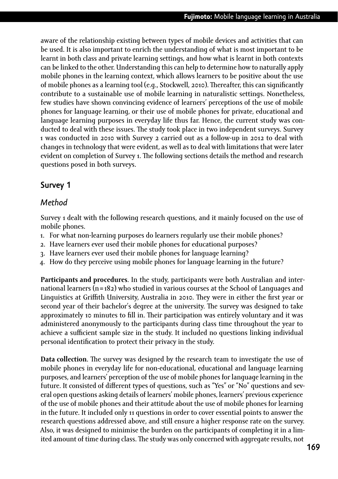aware of the relationship existing between types of mobile devices and activities that can be used. It is also important to enrich the understanding of what is most important to be learnt in both class and private learning settings, and how what is learnt in both contexts can be linked to the other. Understanding this can help to determine how to naturally apply mobile phones in the learning context, which allows learners to be positive about the use of mobile phones as a learning tool (e.g., Stockwell, 2010). Thereafter, this can significantly contribute to a sustainable use of mobile learning in naturalistic settings. Nonetheless, few studies have shown convincing evidence of learners' perceptions of the use of mobile phones for language learning, or their use of mobile phones for private, educational and language learning purposes in everyday life thus far. Hence, the current study was conducted to deal with these issues. The study took place in two independent surveys. Survey 1 was conducted in 2010 with Survey 2 carried out as a follow-up in 2012 to deal with changes in technology that were evident, as well as to deal with limitations that were later evident on completion of Survey 1. The following sections details the method and research questions posed in both surveys.

# **Survey 1**

### *Method*

Survey 1 dealt with the following research questions, and it mainly focused on the use of mobile phones.

- 1. For what non-learning purposes do learners regularly use their mobile phones?
- 2. Have learners ever used their mobile phones for educational purposes?
- 3. Have learners ever used their mobile phones for language learning?
- 4. How do they perceive using mobile phones for language learning in the future?

**Participants and procedures**. In the study, participants were both Australian and international learners (n= 182) who studied in various courses at the School of Languages and Linguistics at Griffith University, Australia in 2010. They were in either the first year or second year of their bachelor's degree at the university. The survey was designed to take approximately 10 minutes to fill in. Their participation was entirely voluntary and it was administered anonymously to the participants during class time throughout the year to achieve a sufficient sample size in the study. It included no questions linking individual personal identification to protect their privacy in the study.

**Data collection**. The survey was designed by the research team to investigate the use of mobile phones in everyday life for non-educational, educational and language learning purposes, and learners' perception of the use of mobile phones for language learning in the future. It consisted of different types of questions, such as "Yes" or "No" questions and several open questions asking details of learners' mobile phones, learners' previous experience of the use of mobile phones and their attitude about the use of mobile phones for learning in the future. It included only 11 questions in order to cover essential points to answer the research questions addressed above, and still ensure a higher response rate on the survey. Also, it was designed to minimise the burden on the participants of completing it in a limited amount of time during class. The study was only concerned with aggregate results, not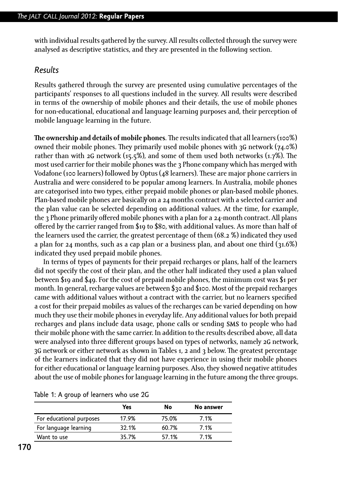with individual results gathered by the survey. All results collected through the survey were analysed as descriptive statistics, and they are presented in the following section.

#### *Results*

Results gathered through the survey are presented using cumulative percentages of the participants' responses to all questions included in the survey. All results were described in terms of the ownership of mobile phones and their details, the use of mobile phones for non-educational, educational and language learning purposes and, their perception of mobile language learning in the future.

**The ownership and details of mobile phones**. The results indicated that all learners (100%) owned their mobile phones. They primarily used mobile phones with 3G network (74.0%) rather than with 2G network (15.5%), and some of them used both networks (1.7%). The most used carrier for their mobile phones was the 3 Phone company which has merged with Vodafone (100 learners) followed by Optus (48 learners). These are major phone carriers in Australia and were considered to be popular among learners. In Australia, mobile phones are categorised into two types, either prepaid mobile phones or plan-based mobile phones. Plan-based mobile phones are basically on a 24 months contract with a selected carrier and the plan value can be selected depending on additional values. At the time, for example, the 3 Phone primarily offered mobile phones with a plan for a 24-month contract. All plans offered by the carrier ranged from \$19 to \$80, with additional values. As more than half of the learners used the carrier, the greatest percentage of them (68.2 %) indicated they used a plan for 24 months, such as a cap plan or a business plan, and about one third (31.6%) indicated they used prepaid mobile phones.

In terms of types of payments for their prepaid recharges or plans, half of the learners did not specify the cost of their plan, and the other half indicated they used a plan valued between \$19 and \$49. For the cost of prepaid mobile phones, the minimum cost was \$1 per month. In general, recharge values are between \$30 and \$100. Most of the prepaid recharges came with additional values without a contract with the carrier, but no learners specified a cost for their prepaid mobiles as values of the recharges can be varied depending on how much they use their mobile phones in everyday life. Any additional values for both prepaid recharges and plans include data usage, phone calls or sending SMS to people who had their mobile phone with the same carrier. In addition to the results described above, all data were analysed into three different groups based on types of networks, namely 2G network, 3G network or either network as shown in Tables 1, 2 and 3 below. The greatest percentage of the learners indicated that they did not have experience in using their mobile phones for either educational or language learning purposes. Also, they showed negative attitudes about the use of mobile phones for language learning in the future among the three groups.

|                          | Yes   | No    | No answer |
|--------------------------|-------|-------|-----------|
| For educational purposes | 17.9% | 75.0% | 7.1%      |
| For language learning    | 32.1% | 60.7% | 7.1%      |
| Want to use              | 35.7% | 57.1% | 7.1%      |

Table 1: A group of learners who use 2G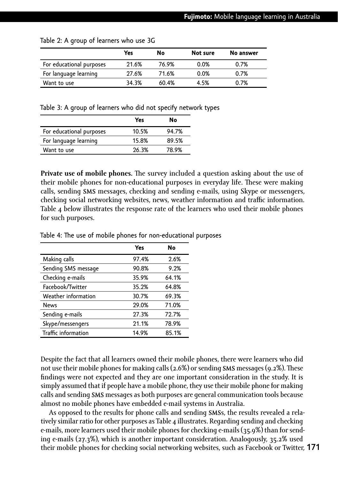|                          | Yes   | No    | Not sure | No answer |
|--------------------------|-------|-------|----------|-----------|
| For educational purposes | 21.6% | 76.9% | 0.0%     | 0.7%      |
| For language learning    | 27.6% | 71.6% | 0.0%     | 0.7%      |
| Want to use              | 34.3% | 60.4% | 4.5%     | 0.7%      |

Table 2: A group of learners who use 3G

Table 3: A group of learners who did not specify network types

|                          | Yes   | No    |
|--------------------------|-------|-------|
| For educational purposes | 10.5% | 94.7% |
| For language learning    | 15.8% | 89.5% |
| Want to use              | 26.3% | 78.9% |

**Private use of mobile phones.** The survey included a question asking about the use of their mobile phones for non-educational purposes in everyday life. These were making calls, sending SMS messages, checking and sending e-mails, using Skype or messengers, checking social networking websites, news, weather information and traffic information. Table 4 below illustrates the response rate of the learners who used their mobile phones for such purposes.

|                     | Yes   | No    |
|---------------------|-------|-------|
| Making calls        | 97.4% | 2.6%  |
| Sending SMS message | 90.8% | 9.2%  |
| Checking e-mails    | 35.9% | 64.1% |
| Facebook/Twitter    | 35.2% | 64.8% |
| Weather information | 30.7% | 69.3% |
| <b>News</b>         | 29.0% | 71.0% |
| Sending e-mails     | 27.3% | 72.7% |
| Skype/messengers    | 21.1% | 78.9% |
| Traffic information | 14.9% | 85.1% |

Table 4: The use of mobile phones for non-educational purposes

Despite the fact that all learners owned their mobile phones, there were learners who did not use their mobile phones for making calls (2.6%) or sending SMS messages (9.2%). These findings were not expected and they are one important consideration in the study. It is simply assumed that if people have a mobile phone, they use their mobile phone for making calls and sending SMS messages as both purposes are general communication tools because almost no mobile phones have embedded e-mail systems in Australia.

**171** their mobile phones for checking social networking websites, such as Facebook or Twitter, As opposed to the results for phone calls and sending SMSs, the results revealed a relatively similar ratio for other purposes as Table 4 illustrates. Regarding sending and checking e-mails, more learners used their mobile phones for checking e-mails (35.9%) than for sending e-mails (27.3%), which is another important consideration. Analogously, 35.2% used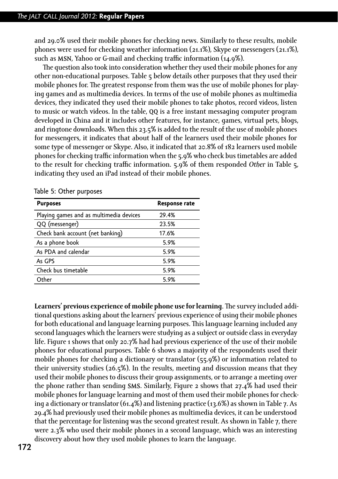and 29.0% used their mobile phones for checking news. Similarly to these results, mobile phones were used for checking weather information (21.1%), Skype or messengers (21.1%), such as MSN, Yahoo or G-mail and checking traffic information (14.9%).

The question also took into consideration whether they used their mobile phones for any other non-educational purposes. Table 5 below details other purposes that they used their mobile phones for. The greatest response from them was the use of mobile phones for playing games and as multimedia devices. In terms of the use of mobile phones as multimedia devices, they indicated they used their mobile phones to take photos, record videos, listen to music or watch videos. In the table, QQ is a free instant messaging computer program developed in China and it includes other features, for instance, games, virtual pets, blogs, and ringtone downloads. When this 23.5% is added to the result of the use of mobile phones for messengers, it indicates that about half of the learners used their mobile phones for some type of messenger or Skype. Also, it indicated that 20.8% of 182 learners used mobile phones for checking traffic information when the 5.9% who check bus timetables are added to the result for checking traffic information. 5.9% of them responded *Other* in Table 5, indicating they used an iPad instead of their mobile phones.

| <b>Response rate</b> |
|----------------------|
| 29.4%                |
| 23.5%                |
| 17.6%                |
| 5.9%                 |
| 5.9%                 |
| 5.9%                 |
| 5.9%                 |
| 5.9%                 |
|                      |

Table 5: Other purposes

**Learners' previous experience of mobile phone use for learning**. The survey included additional questions asking about the learners' previous experience of using their mobile phones for both educational and language learning purposes. This language learning included any second languages which the learners were studying as a subject or outside class in everyday life. Figure 1 shows that only 20.7% had had previous experience of the use of their mobile phones for educational purposes. Table 6 shows a majority of the respondents used their mobile phones for checking a dictionary or translator (55.9%) or information related to their university studies (26.5%). In the results, meeting and discussion means that they used their mobile phones to discuss their group assignments, or to arrange a meeting over the phone rather than sending **SMS**. Similarly, Figure 2 shows that  $27.4\%$  had used their mobile phones for language learning and most of them used their mobile phones for checking a dictionary or translator  $(61.4%)$  and listening practice  $(13.6%)$  as shown in Table 7. As 29.4% had previously used their mobile phones as multimedia devices, it can be understood that the percentage for listening was the second greatest result. As shown in Table 7, there were 2.3% who used their mobile phones in a second language, which was an interesting discovery about how they used mobile phones to learn the language.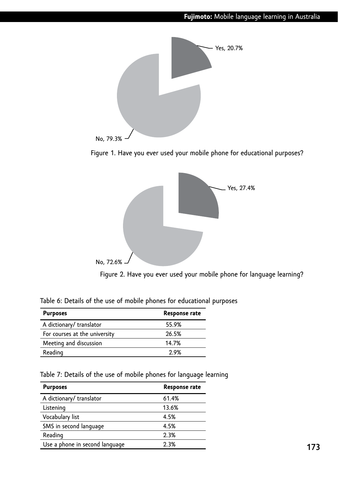







| Table 6: Details of the use of mobile phones for educational purposes |  |  |
|-----------------------------------------------------------------------|--|--|
|-----------------------------------------------------------------------|--|--|

| <b>Purposes</b>               | <b>Response rate</b> |
|-------------------------------|----------------------|
| A dictionary/ translator      | 55.9%                |
| For courses at the university | 26.5%                |
| Meeting and discussion        | 14.7%                |
| Reading                       | ን ዓ%                 |

|  |  |  |  | Table 7: Details of the use of mobile phones for language learning |
|--|--|--|--|--------------------------------------------------------------------|
|  |  |  |  |                                                                    |

| <b>Purposes</b>                | Response rate |
|--------------------------------|---------------|
| A dictionary/ translator       | 61.4%         |
| Listening                      | 13.6%         |
| Vocabulary list                | 4.5%          |
| SMS in second language         | 4.5%          |
| Reading                        | 2.3%          |
| Use a phone in second language | 2.3%          |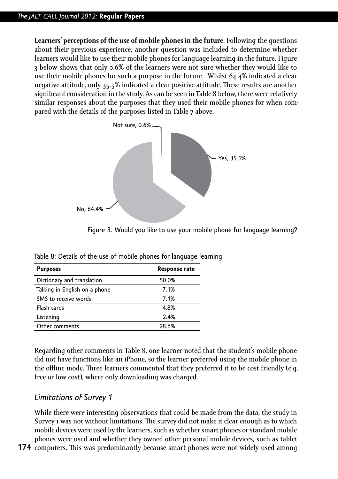**Learners' perceptions of the use of mobile phones in the future**. Following the questions about their previous experience, another question was included to determine whether learners would like to use their mobile phones for language learning in the future. Figure 3 below shows that only 0.6% of the learners were not sure whether they would like to use their mobile phones for such a purpose in the future. Whilst 64.4% indicated a clear negative attitude, only 35.5% indicated a clear positive attitude. These results are another significant consideration in the study. As can be seen in Table 8 below, there were relatively similar responses about the purposes that they used their mobile phones for when compared with the details of the purposes listed in Table 7 above.



Figure 3. Would you like to use your mobile phone for language learning?

| <b>Purposes</b>               | <b>Response rate</b> |
|-------------------------------|----------------------|
| Dictionary and translation    | 50.0%                |
| Talking in English on a phone | 7.1%                 |
| SMS to receive words          | 7.1%                 |
| Flash cards                   | 4.8%                 |
| Listening                     | 2.4%                 |
| Other comments                | 28.6%                |

Table 8: Details of the use of mobile phones for language learning

Regarding other comments in Table 8, one learner noted that the student's mobile phone did not have functions like an iPhone, so the learner preferred using the mobile phone in the offline mode. Three learners commented that they preferred it to be cost friendly (e.g. free or low cost), where only downloading was charged.

### *Limitations of Survey 1*

While there were interesting observations that could be made from the data, the study in Survey 1 was not without limitations. The survey did not make it clear enough as to which mobile devices were used by the learners, such as whether smart phones or standard mobile phones were used and whether they owned other personal mobile devices, such as tablet

**174** computers. This was predominantly because smart phones were not widely used among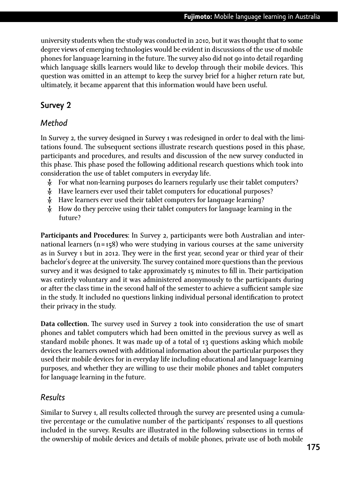university students when the study was conducted in 2010, but it was thought that to some degree views of emerging technologies would be evident in discussions of the use of mobile phones for language learning in the future. The survey also did not go into detail regarding which language skills learners would like to develop through their mobile devices. This question was omitted in an attempt to keep the survey brief for a higher return rate but, ultimately, it became apparent that this information would have been useful.

# **Survey 2**

# *Method*

In Survey 2, the survey designed in Survey 1 was redesigned in order to deal with the limitations found. The subsequent sections illustrate research questions posed in this phase, participants and procedures, and results and discussion of the new survey conducted in this phase. This phase posed the following additional research questions which took into consideration the use of tablet computers in everyday life.

- Ȼ For what non-learning purposes do learners regularly use their tablet computers?
- $\lambda$ . Have learners ever used their tablet computers for educational purposes?
- Ȼ Have learners ever used their tablet computers for language learning?
- Ȼ How do they perceive using their tablet computers for language learning in the future?

**Participants and Procedures**: In Survey 2, participants were both Australian and international learners  $(n = 158)$  who were studying in various courses at the same university as in Survey 1 but in 2012. They were in the first year, second year or third year of their bachelor's degree at the university. The survey contained more questions than the previous survey and it was designed to take approximately 15 minutes to fill in. Their participation was entirely voluntary and it was administered anonymously to the participants during or after the class time in the second half of the semester to achieve a sufficient sample size in the study. It included no questions linking individual personal identification to protect their privacy in the study.

**Data collection.** The survey used in Survey 2 took into consideration the use of smart phones and tablet computers which had been omitted in the previous survey as well as standard mobile phones. It was made up of a total of 13 questions asking which mobile devices the learners owned with additional information about the particular purposes they used their mobile devices for in everyday life including educational and language learning purposes, and whether they are willing to use their mobile phones and tablet computers for language learning in the future.

# *Results*

Similar to Survey 1, all results collected through the survey are presented using a cumulative percentage or the cumulative number of the participants' responses to all questions included in the survey. Results are illustrated in the following subsections in terms of the ownership of mobile devices and details of mobile phones, private use of both mobile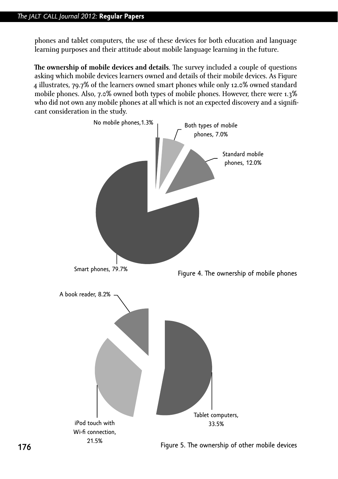phones and tablet computers, the use of these devices for both education and language learning purposes and their attitude about mobile language learning in the future.

**The ownership of mobile devices and details**. The survey included a couple of questions asking which mobile devices learners owned and details of their mobile devices. As Figure 4 illustrates, 79.7% of the learners owned smart phones while only 12.0% owned standard mobile phones. Also, 7.0% owned both types of mobile phones. However, there were 1.3% who did not own any mobile phones at all which is not an expected discovery and a significant consideration in the study.

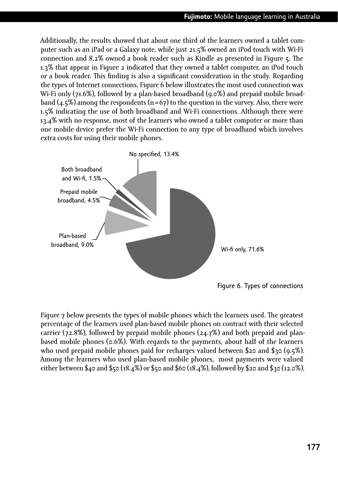Additionally, the results showed that about one third of the learners owned a tablet computer such as an iPad or a Galaxy note, while just 21.5% owned an iPod touch with Wi-Fi connection and 8.2% owned a book reader such as Kindle as presented in Figure 5. The 1.3% that appear in Figure 2 indicated that they owned a tablet computer, an iPod touch or a book reader. This finding is also a significant consideration in the study. Regarding the types of Internet connections, Figure 6 below illustrates the most used connection was Wi-Fi only (71.6%), followed by a plan-based broadband (9.0%) and prepaid mobile broadband  $(4.5\%)$  among the respondents  $(n=67)$  to the question in the survey. Also, there were 1.5% indicating the use of both broadband and Wi-Fi connections. Although there were 13.4% with no response, most of the learners who owned a tablet computer or more than one mobile device prefer the Wi-Fi connection to any type of broadband which involves extra costs for using their mobile phones.



Figure 7 below presents the types of mobile phones which the learners used. The greatest percentage of the learners used plan-based mobile phones on contract with their selected carrier (72.8%), followed by prepaid mobile phones (24.7%) and both prepaid and planbased mobile phones (0.6%). With regards to the payments, about half of the learners who used prepaid mobile phones paid for recharges valued between \$20 and \$30 (9.5%). Among the learners who used plan-based mobile phones, most payments were valued either between \$40 and \$50 (18.4%) or \$50 and \$60 (18.4%), followed by \$20 and \$30 (12.0%).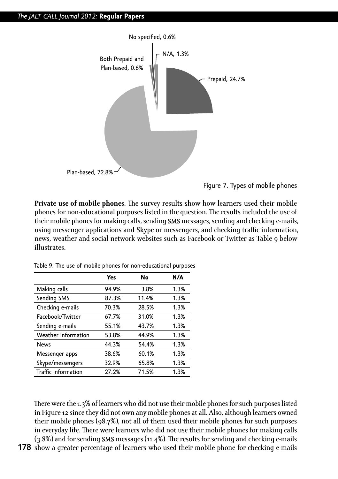

Figure 7. Types of mobile phones

**Private use of mobile phones**. The survey results show how learners used their mobile phones for non-educational purposes listed in the question. The results included the use of their mobile phones for making calls, sending SMS messages, sending and checking e-mails, using messenger applications and Skype or messengers, and checking traffic information, news, weather and social network websites such as Facebook or Twitter as Table 9 below illustrates.

|                     | Yes   | No    | N/A  |
|---------------------|-------|-------|------|
| Making calls        | 94.9% | 3.8%  | 1.3% |
| Sending SMS         | 87.3% | 11.4% | 1.3% |
| Checking e-mails    | 70.3% | 28.5% | 1.3% |
| Facebook/Twitter    | 67.7% | 31.0% | 1.3% |
| Sending e-mails     | 55.1% | 43.7% | 1.3% |
| Weather information | 53.8% | 44.9% | 1.3% |
| <b>News</b>         | 44.3% | 54.4% | 1.3% |
| Messenger apps      | 38.6% | 60.1% | 1.3% |
| Skype/messengers    | 32.9% | 65.8% | 1.3% |
| Traffic information | 27.2% | 71.5% | 1.3% |

Table 9: The use of mobile phones for non-educational purposes

There were the 1.3% of learners who did not use their mobile phones for such purposes listed in Figure 12 since they did not own any mobile phones at all. Also, although learners owned their mobile phones (98.7%), not all of them used their mobile phones for such purposes in everyday life. There were learners who did not use their mobile phones for making calls (3.8%) and for sending SMS messages (11.4%). The results for sending and checking e-mails

**178** show a greater percentage of learners who used their mobile phone for checking e-mails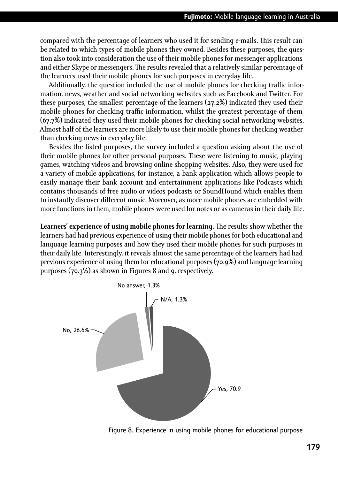compared with the percentage of learners who used it for sending e-mails. This result can be related to which types of mobile phones they owned. Besides these purposes, the question also took into consideration the use of their mobile phones for messenger applications and either Skype or messengers. The results revealed that a relatively similar percentage of the learners used their mobile phones for such purposes in everyday life.

Additionally, the question included the use of mobile phones for checking traffic information, news, weather and social networking websites such as Facebook and Twitter. For these purposes, the smallest percentage of the learners (27.2%) indicated they used their mobile phones for checking traffic information, whilst the greatest percentage of them (67.7%) indicated they used their mobile phones for checking social networking websites. Almost half of the learners are more likely to use their mobile phones for checking weather than checking news in everyday life.

Besides the listed purposes, the survey included a question asking about the use of their mobile phones for other personal purposes. These were listening to music, playing games, watching videos and browsing online shopping websites. Also, they were used for a variety of mobile applications, for instance, a bank application which allows people to easily manage their bank account and entertainment applications like Podcasts which contains thousands of free audio or videos podcasts or SoundHound which enables them to instantly discover different music. Moreover, as more mobile phones are embedded with more functions in them, mobile phones were used for notes or as cameras in their daily life.

**Learners' experience of using mobile phones for learning**. The results show whether the learners had had previous experience of using their mobile phones for both educational and language learning purposes and how they used their mobile phones for such purposes in their daily life. Interestingly, it reveals almost the same percentage of the learners had had previous experience of using them for educational purposes (70.9%) and language learning purposes (70.3%) as shown in Figures 8 and 9, respectively.



Figure 8. Experience in using mobile phones for educational purpose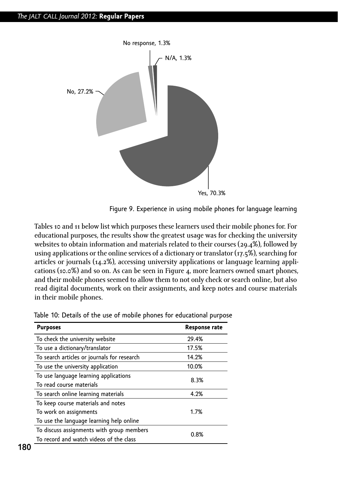



Tables 10 and 11 below list which purposes these learners used their mobile phones for. For educational purposes, the results show the greatest usage was for checking the university websites to obtain information and materials related to their courses (29.4%), followed by using applications or the online services of a dictionary or translator (17.5%), searching for articles or journals (14.2%), accessing university applications or language learning applications (10.0%) and so on. As can be seen in Figure 4, more learners owned smart phones, and their mobile phones seemed to allow them to not only check or search online, but also read digital documents, work on their assignments, and keep notes and course materials in their mobile phones.

| <b>Purposes</b>                             | <b>Response rate</b> |
|---------------------------------------------|----------------------|
| To check the university website             | 29.4%                |
| To use a dictionary/translator              | 17.5%                |
| To search articles or journals for research | 14.2%                |
| To use the university application           | 10.0%                |
| To use language learning applications       | 8.3%                 |
| To read course materials                    |                      |
| To search online learning materials         | 4.2%                 |
| To keep course materials and notes          |                      |
| To work on assignments                      | 1.7%                 |
| To use the language learning help online    |                      |
| To discuss assignments with group members   | 0.8%                 |
| To record and watch videos of the class     |                      |

Table 10: Details of the use of mobile phones for educational purpose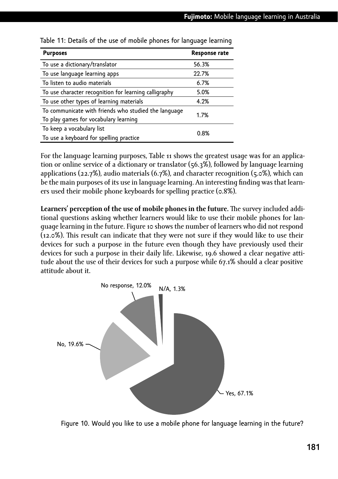| <b>Purposes</b>                                                                               | Response rate |
|-----------------------------------------------------------------------------------------------|---------------|
| To use a dictionary/translator                                                                | 56.3%         |
| To use language learning apps                                                                 | 22.7%         |
| To listen to audio materials                                                                  | 6.7%          |
| To use character recognition for learning calligraphy                                         | 5.0%          |
| To use other types of learning materials                                                      | 4.2%          |
| To communicate with friends who studied the language<br>To play games for vocabulary learning | 1.7%          |
| To keep a vocabulary list<br>To use a keyboard for spelling practice                          | 0.8%          |

Table 11: Details of the use of mobile phones for language learning

For the language learning purposes, Table 11 shows the greatest usage was for an application or online service of a dictionary or translator (56.3%), followed by language learning applications (22.7%), audio materials (6.7%), and character recognition (5.0%), which can be the main purposes of its use in language learning. An interesting finding was that learners used their mobile phone keyboards for spelling practice (0.8%).

**Learners' perception of the use of mobile phones in the future.** The survey included additional questions asking whether learners would like to use their mobile phones for language learning in the future. Figure 10 shows the number of learners who did not respond (12.0%). This result can indicate that they were not sure if they would like to use their devices for such a purpose in the future even though they have previously used their devices for such a purpose in their daily life. Likewise, 19.6 showed a clear negative attitude about the use of their devices for such a purpose while 67.1% should a clear positive attitude about it.



Figure 10. Would you like to use a mobile phone for language learning in the future?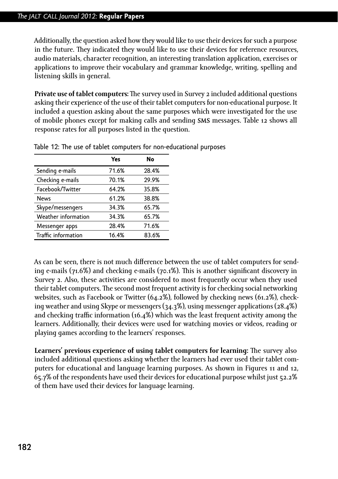#### *The jalt call Journal 2012:* **Regular Papers**

Additionally, the question asked how they would like to use their devices for such a purpose in the future. They indicated they would like to use their devices for reference resources, audio materials, character recognition, an interesting translation application, exercises or applications to improve their vocabulary and grammar knowledge, writing, spelling and listening skills in general.

**Private use of tablet computers:** The survey used in Survey 2 included additional questions asking their experience of the use of their tablet computers for non-educational purpose. It included a question asking about the same purposes which were investigated for the use of mobile phones except for making calls and sending SMS messages. Table 12 shows all response rates for all purposes listed in the question.

|                     | Yes   | No    |
|---------------------|-------|-------|
| Sending e-mails     | 71.6% | 28.4% |
| Checking e-mails    | 70.1% | 29.9% |
| Facebook/Twitter    | 64.2% | 35.8% |
| <b>News</b>         | 61.2% | 38.8% |
| Skype/messengers    | 34.3% | 65.7% |
| Weather information | 34.3% | 65.7% |
| Messenger apps      | 28.4% | 71.6% |
| Traffic information | 16.4% | 83.6% |

Table 12: The use of tablet computers for non-educational purposes

As can be seen, there is not much difference between the use of tablet computers for sending e-mails (71.6%) and checking e-mails (70.1%). This is another significant discovery in Survey 2. Also, these activities are considered to most frequently occur when they used their tablet computers. The second most frequent activity is for checking social networking websites, such as Facebook or Twitter (64.2%), followed by checking news (61.2%), checking weather and using Skype or messengers (34.3%), using messenger applications (28.4%) and checking traffic information (16.4%) which was the least frequent activity among the learners. Additionally, their devices were used for watching movies or videos, reading or playing games according to the learners' responses.

**Learners' previous experience of using tablet computers for learning:** The survey also included additional questions asking whether the learners had ever used their tablet computers for educational and language learning purposes. As shown in Figures 11 and 12, 65.7% of the respondents have used their devices for educational purpose whilst just 52.2% of them have used their devices for language learning.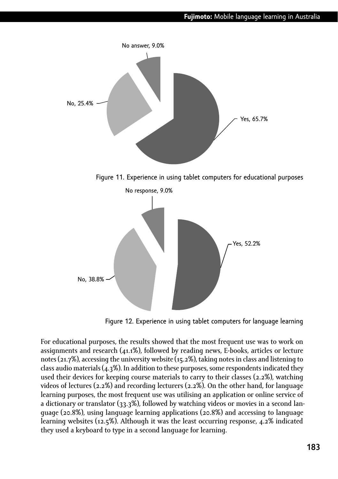

Figure 11. Experience in using tablet computers for educational purposes



Figure 12. Experience in using tablet computers for language learning

For educational purposes, the results showed that the most frequent use was to work on assignments and research (41.1%), followed by reading news, E-books, articles or lecture notes (21.7%), accessing the university website (15.2%), taking notes in class and listening to class audio materials (4.3%). In addition to these purposes, some respondents indicated they used their devices for keeping course materials to carry to their classes (2.2%), watching videos of lectures (2.2%) and recording lecturers (2.2%). On the other hand, for language learning purposes, the most frequent use was utilising an application or online service of a dictionary or translator  $(33.3\%)$ , followed by watching videos or movies in a second language (20.8%), using language learning applications (20.8%) and accessing to language learning websites (12.5%). Although it was the least occurring response, 4.2% indicated they used a keyboard to type in a second language for learning.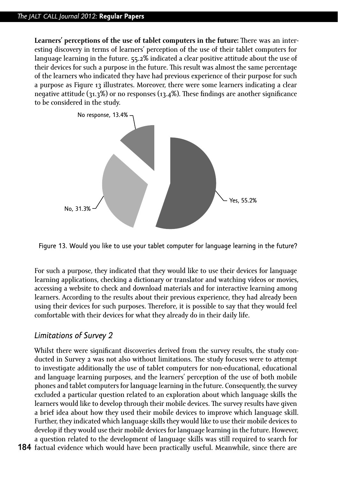**Learners' perceptions of the use of tablet computers in the future:** There was an interesting discovery in terms of learners' perception of the use of their tablet computers for language learning in the future. 55.2% indicated a clear positive attitude about the use of their devices for such a purpose in the future. This result was almost the same percentage of the learners who indicated they have had previous experience of their purpose for such a purpose as Figure 13 illustrates. Moreover, there were some learners indicating a clear negative attitude (31.3%) or no responses (13.4%). These findings are another significance to be considered in the study.



Figure 13. Would you like to use your tablet computer for language learning in the future?

For such a purpose, they indicated that they would like to use their devices for language learning applications, checking a dictionary or translator and watching videos or movies, accessing a website to check and download materials and for interactive learning among learners. According to the results about their previous experience, they had already been using their devices for such purposes. Therefore, it is possible to say that they would feel comfortable with their devices for what they already do in their daily life.

# *Limitations of Survey 2*

Whilst there were significant discoveries derived from the survey results, the study conducted in Survey 2 was not also without limitations. The study focuses were to attempt to investigate additionally the use of tablet computers for non-educational, educational and language learning purposes, and the learners' perception of the use of both mobile phones and tablet computers for language learning in the future. Consequently, the survey excluded a particular question related to an exploration about which language skills the learners would like to develop through their mobile devices. The survey results have given a brief idea about how they used their mobile devices to improve which language skill. Further, they indicated which language skills they would like to use their mobile devices to develop if they would use their mobile devices for language learning in the future. However, a question related to the development of language skills was still required to search for

**184** factual evidence which would have been practically useful. Meanwhile, since there are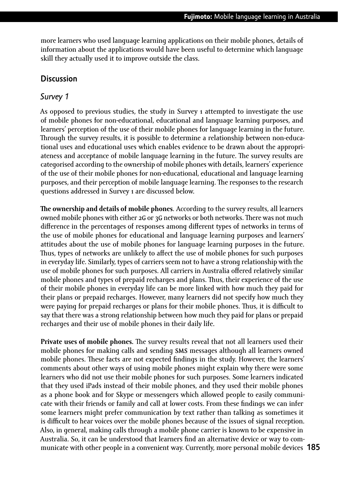more learners who used language learning applications on their mobile phones, details of information about the applications would have been useful to determine which language skill they actually used it to improve outside the class.

#### **Discussion**

#### *Survey 1*

As opposed to previous studies, the study in Survey 1 attempted to investigate the use of mobile phones for non-educational, educational and language learning purposes, and learners' perception of the use of their mobile phones for language learning in the future. Through the survey results, it is possible to determine a relationship between non-educational uses and educational uses which enables evidence to be drawn about the appropriateness and acceptance of mobile language learning in the future. The survey results are categorised according to the ownership of mobile phones with details, learners' experience of the use of their mobile phones for non-educational, educational and language learning purposes, and their perception of mobile language learning. The responses to the research questions addressed in Survey 1 are discussed below.

**The ownership and details of mobile phones**. According to the survey results, all learners owned mobile phones with either 2G or 3G networks or both networks. There was not much difference in the percentages of responses among different types of networks in terms of the use of mobile phones for educational and language learning purposes and learners' attitudes about the use of mobile phones for language learning purposes in the future. Thus, types of networks are unlikely to affect the use of mobile phones for such purposes in everyday life. Similarly, types of carriers seem not to have a strong relationship with the use of mobile phones for such purposes. All carriers in Australia offered relatively similar mobile phones and types of prepaid recharges and plans. Thus, their experience of the use of their mobile phones in everyday life can be more linked with how much they paid for their plans or prepaid recharges. However, many learners did not specify how much they were paying for prepaid recharges or plans for their mobile phones. Thus, it is difficult to say that there was a strong relationship between how much they paid for plans or prepaid recharges and their use of mobile phones in their daily life.

**185** municate with other people in a convenient way. Currently, more personal mobile devices **Private uses of mobile phones.** The survey results reveal that not all learners used their mobile phones for making calls and sending SMS messages although all learners owned mobile phones. These facts are not expected findings in the study. However, the learners' comments about other ways of using mobile phones might explain why there were some learners who did not use their mobile phones for such purposes. Some learners indicated that they used iPads instead of their mobile phones, and they used their mobile phones as a phone book and for Skype or messengers which allowed people to easily communicate with their friends or family and call at lower costs. From these findings we can infer some learners might prefer communication by text rather than talking as sometimes it is difficult to hear voices over the mobile phones because of the issues of signal reception. Also, in general, making calls through a mobile phone carrier is known to be expensive in Australia. So, it can be understood that learners find an alternative device or way to com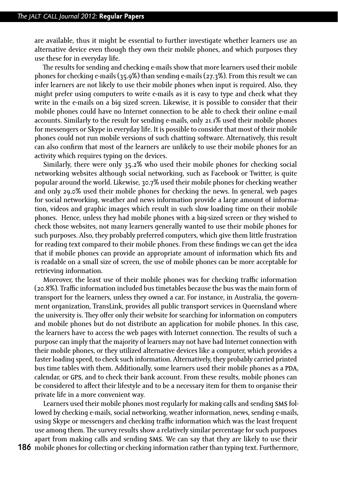are available, thus it might be essential to further investigate whether learners use an alternative device even though they own their mobile phones, and which purposes they use these for in everyday life.

The results for sending and checking e-mails show that more learners used their mobile phones for checking e-mails (35.9%) than sending e-mails (27.3%). From this result we can infer learners are not likely to use their mobile phones when input is required. Also, they might prefer using computers to write e-mails as it is easy to type and check what they write in the e-mails on a big sized screen. Likewise, it is possible to consider that their mobile phones could have no Internet connection to be able to check their online e-mail accounts. Similarly to the result for sending e-mails, only 21.1% used their mobile phones for messengers or Skype in everyday life. It is possible to consider that most of their mobile phones could not run mobile versions of such chatting software. Alternatively, this result can also confirm that most of the learners are unlikely to use their mobile phones for an activity which requires typing on the devices.

Similarly, there were only 35.2% who used their mobile phones for checking social networking websites although social networking, such as Facebook or Twitter, is quite popular around the world. Likewise, 30.7% used their mobile phones for checking weather and only 29.0% used their mobile phones for checking the news. In general, web pages for social networking, weather and news information provide a large amount of information, videos and graphic images which result in such slow loading time on their mobile phones. Hence, unless they had mobile phones with a big-sized screen or they wished to check those websites, not many learners generally wanted to use their mobile phones for such purposes. Also, they probably preferred computers, which give them little frustration for reading text compared to their mobile phones. From these findings we can get the idea that if mobile phones can provide an appropriate amount of information which fits and is readable on a small size of screen, the use of mobile phones can be more acceptable for retrieving information.

Moreover, the least use of their mobile phones was for checking traffic information (20.8%). Traffic information included bus timetables because the bus was the main form of transport for the learners, unless they owned a car. For instance, in Australia, the government organization, TransLink, provides all public transport services in Queensland where the university is. They offer only their website for searching for information on computers and mobile phones but do not distribute an application for mobile phones. In this case, the learners have to access the web pages with Internet connection. The results of such a purpose can imply that the majority of learners may not have had Internet connection with their mobile phones, or they utilized alternative devices like a computer, which provides a faster loading speed, to check such information. Alternatively, they probably carried printed bus time tables with them. Additionally, some learners used their mobile phones as a PDA, calendar, or GPS, and to check their bank account. From these results, mobile phones can be considered to affect their lifestyle and to be a necessary item for them to organise their private life in a more convenient way.

Learners used their mobile phones most regularly for making calls and sending SMS followed by checking e-mails, social networking, weather information, news, sending e-mails, using Skype or messengers and checking traffic information which was the least frequent use among them. The survey results show a relatively similar percentage for such purposes apart from making calls and sending SMS. We can say that they are likely to use their

**186** mobile phones for collecting or checking information rather than typing text. Furthermore,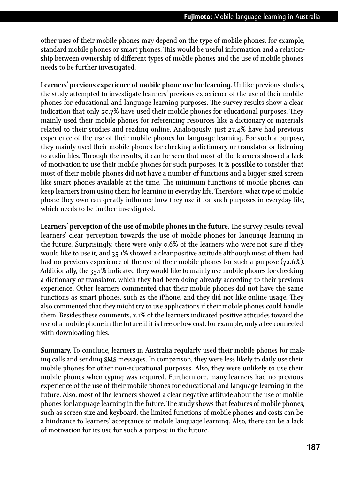other uses of their mobile phones may depend on the type of mobile phones, for example, standard mobile phones or smart phones. This would be useful information and a relationship between ownership of different types of mobile phones and the use of mobile phones needs to be further investigated.

**Learners' previous experience of mobile phone use for learning.** Unlike previous studies, the study attempted to investigate learners' previous experience of the use of their mobile phones for educational and language learning purposes. The survey results show a clear indication that only 20.7% have used their mobile phones for educational purposes. They mainly used their mobile phones for referencing resources like a dictionary or materials related to their studies and reading online. Analogously, just 27.4% have had previous experience of the use of their mobile phones for language learning. For such a purpose, they mainly used their mobile phones for checking a dictionary or translator or listening to audio files. Through the results, it can be seen that most of the learners showed a lack of motivation to use their mobile phones for such purposes. It is possible to consider that most of their mobile phones did not have a number of functions and a bigger sized screen like smart phones available at the time. The minimum functions of mobile phones can keep learners from using them for learning in everyday life. Therefore, what type of mobile phone they own can greatly influence how they use it for such purposes in everyday life, which needs to be further investigated.

**Learners' perception of the use of mobile phones in the future.** The survey results reveal learners' clear perception towards the use of mobile phones for language learning in the future. Surprisingly, there were only 0.6% of the learners who were not sure if they would like to use it, and 35.1% showed a clear positive attitude although most of them had had no previous experience of the use of their mobile phones for such a purpose (72.6%). Additionally, the 35.1% indicated they would like to mainly use mobile phones for checking a dictionary or translator, which they had been doing already according to their previous experience. Other learners commented that their mobile phones did not have the same functions as smart phones, such as the iPhone, and they did not like online usage. They also commented that they might try to use applications if their mobile phones could handle them. Besides these comments, 7.1% of the learners indicated positive attitudes toward the use of a mobile phone in the future if it is free or low cost, for example, only a fee connected with downloading files.

**Summary.** To conclude, learners in Australia regularly used their mobile phones for making calls and sending SMS messages. In comparison, they were less likely to daily use their mobile phones for other non-educational purposes. Also, they were unlikely to use their mobile phones when typing was required. Furthermore, many learners had no previous experience of the use of their mobile phones for educational and language learning in the future. Also, most of the learners showed a clear negative attitude about the use of mobile phones for language learning in the future. The study shows that features of mobile phones, such as screen size and keyboard, the limited functions of mobile phones and costs can be a hindrance to learners' acceptance of mobile language learning. Also, there can be a lack of motivation for its use for such a purpose in the future.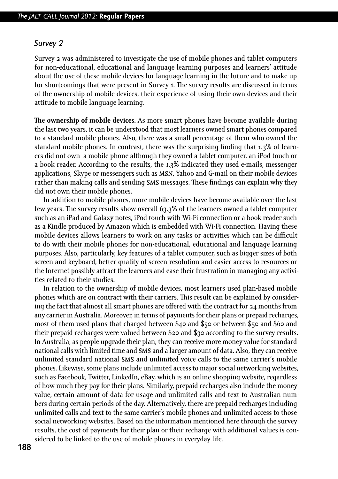#### *Survey 2*

Survey 2 was administered to investigate the use of mobile phones and tablet computers for non-educational, educational and language learning purposes and learners' attitude about the use of these mobile devices for language learning in the future and to make up for shortcomings that were present in Survey 1. The survey results are discussed in terms of the ownership of mobile devices, their experience of using their own devices and their attitude to mobile language learning.

**The ownership of mobile devices.** As more smart phones have become available during the last two years, it can be understood that most learners owned smart phones compared to a standard mobile phones. Also, there was a small percentage of them who owned the standard mobile phones. In contrast, there was the surprising finding that 1.3% of learners did not own a mobile phone although they owned a tablet computer, an iPod touch or a book reader. According to the results, the 1.3% indicated they used e-mails, messenger applications, Skype or messengers such as MSN, Yahoo and G-mail on their mobile devices rather than making calls and sending SMS messages. These findings can explain why they did not own their mobile phones.

In addition to mobile phones, more mobile devices have become available over the last few years. The survey results show overall 63.3% of the learners owned a tablet computer such as an iPad and Galaxy notes, iPod touch with Wi-Fi connection or a book reader such as a Kindle produced by Amazon which is embedded with Wi-Fi connection. Having these mobile devices allows learners to work on any tasks or activities which can be difficult to do with their mobile phones for non-educational, educational and language learning purposes. Also, particularly, key features of a tablet computer, such as bigger sizes of both screen and keyboard, better quality of screen resolution and easier access to resources or the Internet possibly attract the learners and ease their frustration in managing any activities related to their studies.

In relation to the ownership of mobile devices, most learners used plan-based mobile phones which are on contract with their carriers. This result can be explained by considering the fact that almost all smart phones are offered with the contract for 24 months from any carrier in Australia. Moreover, in terms of payments for their plans or prepaid recharges, most of them used plans that charged between \$40 and \$50 or between \$50 and \$60 and their prepaid recharges were valued between \$20 and \$30 according to the survey results. In Australia, as people upgrade their plan, they can receive more money value for standard national calls with limited time and **SMS** and a larger amount of data. Also, they can receive unlimited standard national SMS and unlimited voice calls to the same carrier's mobile phones. Likewise, some plans include unlimited access to major social networking websites, such as Facebook, Twitter, LinkedIn, eBay, which is an online shopping website, regardless of how much they pay for their plans. Similarly, prepaid recharges also include the money value, certain amount of data for usage and unlimited calls and text to Australian numbers during certain periods of the day. Alternatively, there are prepaid recharges including unlimited calls and text to the same carrier's mobile phones and unlimited access to those social networking websites. Based on the information mentioned here through the survey results, the cost of payments for their plan or their recharge with additional values is considered to be linked to the use of mobile phones in everyday life.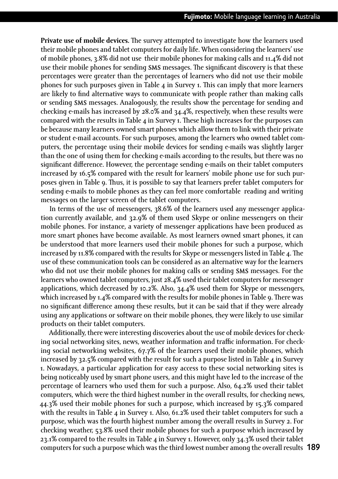**Private use of mobile devices.** The survey attempted to investigate how the learners used their mobile phones and tablet computers for daily life. When considering the learners' use of mobile phones, 3.8% did not use their mobile phones for making calls and 11.4% did not use their mobile phones for sending **SMS** messages. The significant discovery is that these percentages were greater than the percentages of learners who did not use their mobile phones for such purposes given in Table 4 in Survey 1. This can imply that more learners are likely to find alternative ways to communicate with people rather than making calls or sending SMS messages. Analogously, the results show the percentage for sending and checking e-mails has increased by 28.0% and 34.4%, respectively, when these results were compared with the results in Table 4 in Survey 1. These high increases for the purposes can be because many learners owned smart phones which allow them to link with their private or student e-mail accounts. For such purposes, among the learners who owned tablet computers, the percentage using their mobile devices for sending e-mails was slightly larger than the one of using them for checking e-mails according to the results, but there was no significant difference. However, the percentage sending e-mails on their tablet computers increased by 16.5% compared with the result for learners' mobile phone use for such purposes given in Table 9. Thus, it is possible to say that learners prefer tablet computers for sending e-mails to mobile phones as they can feel more comfortable reading and writing messages on the larger screen of the tablet computers.

In terms of the use of messengers, 38.6% of the learners used any messenger application currently available, and 32.9% of them used Skype or online messengers on their mobile phones. For instance, a variety of messenger applications have been produced as more smart phones have become available. As most learners owned smart phones, it can be understood that more learners used their mobile phones for such a purpose, which increased by 11.8% compared with the results for Skype or messengers listed in Table 4. The use of these communication tools can be considered as an alternative way for the learners who did not use their mobile phones for making calls or sending SMS messages. For the learners who owned tablet computers, just 28.4% used their tablet computers for messenger applications, which decreased by 10.2%. Also, 34.4% used them for Skype or messengers, which increased by 1.4% compared with the results for mobile phones in Table 9. There was no significant difference among these results, but it can be said that if they were already using any applications or software on their mobile phones, they were likely to use similar products on their tablet computers.

**189** computers for such a purpose which was the third lowest number among the overall results Additionally, there were interesting discoveries about the use of mobile devices for checking social networking sites, news, weather information and traffic information. For checking social networking websites, 67.7% of the learners used their mobile phones, which increased by 32.5% compared with the result for such a purpose listed in Table 4 in Survey 1. Nowadays, a particular application for easy access to these social networking sites is being noticeably used by smart phone users, and this might have led to the increase of the percentage of learners who used them for such a purpose. Also, 64.2% used their tablet computers, which were the third highest number in the overall results, for checking news, 44.3% used their mobile phones for such a purpose, which increased by 15.3% compared with the results in Table 4 in Survey 1. Also, 61.2% used their tablet computers for such a purpose, which was the fourth highest number among the overall results in Survey 2. For checking weather, 53.8% used their mobile phones for such a purpose which increased by 23.1% compared to the results in Table 4 in Survey 1. However, only 34.3% used their tablet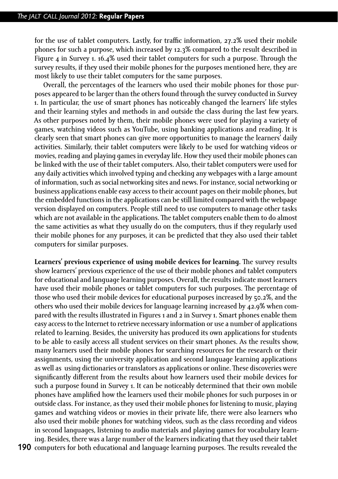for the use of tablet computers. Lastly, for traffic information, 27.2% used their mobile phones for such a purpose, which increased by 12.3% compared to the result described in Figure 4 in Survey 1. 16.4% used their tablet computers for such a purpose. Through the survey results, if they used their mobile phones for the purposes mentioned here, they are most likely to use their tablet computers for the same purposes.

Overall, the percentages of the learners who used their mobile phones for those purposes appeared to be larger than the others found through the survey conducted in Survey 1. In particular, the use of smart phones has noticeably changed the learners' life styles and their learning styles and methods in and outside the class during the last few years. As other purposes noted by them, their mobile phones were used for playing a variety of games, watching videos such as YouTube, using banking applications and reading. It is clearly seen that smart phones can give more opportunities to manage the learners' daily activities. Similarly, their tablet computers were likely to be used for watching videos or movies, reading and playing games in everyday life. How they used their mobile phones can be linked with the use of their tablet computers. Also, their tablet computers were used for any daily activities which involved typing and checking any webpages with a large amount of information, such as social networking sites and news. For instance, social networking or business applications enable easy access to their account pages on their mobile phones, but the embedded functions in the applications can be still limited compared with the webpage version displayed on computers. People still need to use computers to manage other tasks which are not available in the applications. The tablet computers enable them to do almost the same activities as what they usually do on the computers, thus if they regularly used their mobile phones for any purposes, it can be predicted that they also used their tablet computers for similar purposes.

**Learners' previous experience of using mobile devices for learning.** The survey results show learners' previous experience of the use of their mobile phones and tablet computers for educational and language learning purposes. Overall, the results indicate most learners have used their mobile phones or tablet computers for such purposes. The percentage of those who used their mobile devices for educational purposes increased by 50.2%, and the others who used their mobile devices for language learning increased by 42.9% when compared with the results illustrated in Figures 1 and 2 in Survey 1. Smart phones enable them easy access to the Internet to retrieve necessary information or use a number of applications related to learning. Besides, the university has produced its own applications for students to be able to easily access all student services on their smart phones. As the results show, many learners used their mobile phones for searching resources for the research or their assignments, using the university application and second language learning applications as well as using dictionaries or translators as applications or online. These discoveries were significantly different from the results about how learners used their mobile devices for such a purpose found in Survey 1. It can be noticeably determined that their own mobile phones have amplified how the learners used their mobile phones for such purposes in or outside class. For instance, as they used their mobile phones for listening to music, playing games and watching videos or movies in their private life, there were also learners who also used their mobile phones for watching videos, such as the class recording and videos in second languages, listening to audio materials and playing games for vocabulary learning. Besides, there was a large number of the learners indicating that they used their tablet

**190** computers for both educational and language learning purposes. The results revealed the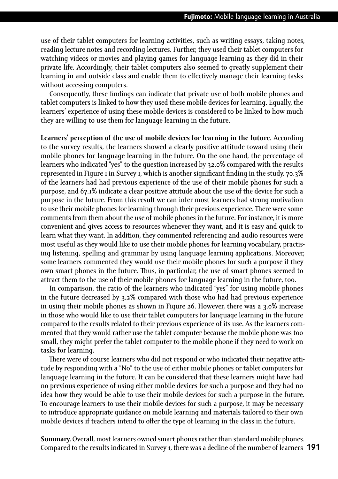use of their tablet computers for learning activities, such as writing essays, taking notes, reading lecture notes and recording lectures. Further, they used their tablet computers for watching videos or movies and playing games for language learning as they did in their private life. Accordingly, their tablet computers also seemed to greatly supplement their learning in and outside class and enable them to effectively manage their learning tasks without accessing computers.

Consequently, these findings can indicate that private use of both mobile phones and tablet computers is linked to how they used these mobile devices for learning. Equally, the learners' experience of using these mobile devices is considered to be linked to how much they are willing to use them for language learning in the future.

**Learners' perception of the use of mobile devices for learning in the future.** According to the survey results, the learners showed a clearly positive attitude toward using their mobile phones for language learning in the future. On the one hand, the percentage of learners who indicated "yes" to the question increased by 32.0% compared with the results represented in Figure 1 in Survey 1, which is another significant finding in the study. 70.3% of the learners had had previous experience of the use of their mobile phones for such a purpose, and 67.1% indicate a clear positive attitude about the use of the device for such a purpose in the future. From this result we can infer most learners had strong motivation to use their mobile phones for learning through their previous experience. There were some comments from them about the use of mobile phones in the future. For instance, it is more convenient and gives access to resources whenever they want, and it is easy and quick to learn what they want. In addition, they commented referencing and audio resources were most useful as they would like to use their mobile phones for learning vocabulary, practising listening, spelling and grammar by using language learning applications. Moreover, some learners commented they would use their mobile phones for such a purpose if they own smart phones in the future. Thus, in particular, the use of smart phones seemed to attract them to the use of their mobile phones for language learning in the future, too.

In comparison, the ratio of the learners who indicated "yes" for using mobile phones in the future decreased by 3.2% compared with those who had had previous experience in using their mobile phones as shown in Figure 26. However, there was a 3.0% increase in those who would like to use their tablet computers for language learning in the future compared to the results related to their previous experience of its use. As the learners commented that they would rather use the tablet computer because the mobile phone was too small, they might prefer the tablet computer to the mobile phone if they need to work on tasks for learning.

There were of course learners who did not respond or who indicated their negative attitude by responding with a "No" to the use of either mobile phones or tablet computers for language learning in the future. It can be considered that these learners might have had no previous experience of using either mobile devices for such a purpose and they had no idea how they would be able to use their mobile devices for such a purpose in the future. To encourage learners to use their mobile devices for such a purpose, it may be necessary to introduce appropriate guidance on mobile learning and materials tailored to their own mobile devices if teachers intend to offer the type of learning in the class in the future.

Compared to the results indicated in Survey 1, there was a decline of the number of learners 191 **Summary.** Overall, most learners owned smart phones rather than standard mobile phones.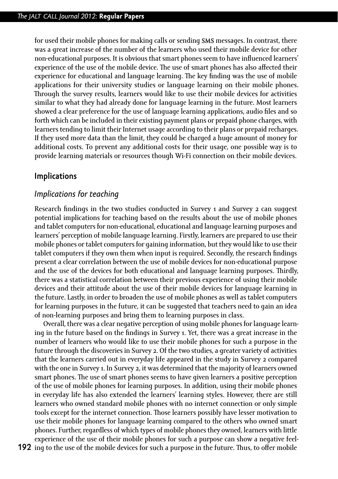for used their mobile phones for making calls or sending SMS messages. In contrast, there was a great increase of the number of the learners who used their mobile device for other non-educational purposes. It is obvious that smart phones seem to have influenced learners' experience of the use of the mobile device. The use of smart phones has also affected their experience for educational and language learning. The key finding was the use of mobile applications for their university studies or language learning on their mobile phones. Through the survey results, learners would like to use their mobile devices for activities similar to what they had already done for language learning in the future. Most learners showed a clear preference for the use of language learning applications, audio files and so forth which can be included in their existing payment plans or prepaid phone charges, with learners tending to limit their Internet usage according to their plans or prepaid recharges. If they used more data than the limit, they could be charged a huge amount of money for additional costs. To prevent any additional costs for their usage, one possible way is to provide learning materials or resources though Wi-Fi connection on their mobile devices.

#### **Implications**

#### *Implications for teaching*

Research findings in the two studies conducted in Survey 1 and Survey 2 can suggest potential implications for teaching based on the results about the use of mobile phones and tablet computers for non-educational, educational and language learning purposes and learners' perception of mobile language learning. Firstly, learners are prepared to use their mobile phones or tablet computers for gaining information, but they would like to use their tablet computers if they own them when input is required. Secondly, the research findings present a clear correlation between the use of mobile devices for non-educational purpose and the use of the devices for both educational and language learning purposes. Thirdly, there was a statistical correlation between their previous experience of using their mobile devices and their attitude about the use of their mobile devices for language learning in the future. Lastly, in order to broaden the use of mobile phones as well as tablet computers for learning purposes in the future, it can be suggested that teachers need to gain an idea of non-learning purposes and bring them to learning purposes in class.

Overall, there was a clear negative perception of using mobile phones for language learning in the future based on the findings in Survey 1. Yet, there was a great increase in the number of learners who would like to use their mobile phones for such a purpose in the future through the discoveries in Survey 2. Of the two studies, a greater variety of activities that the learners carried out in everyday life appeared in the study in Survey 2 compared with the one in Survey 1. In Survey 2, it was determined that the majority of learners owned smart phones. The use of smart phones seems to have given learners a positive perception of the use of mobile phones for learning purposes. In addition, using their mobile phones in everyday life has also extended the learners' learning styles. However, there are still learners who owned standard mobile phones with no internet connection or only simple tools except for the internet connection. Those learners possibly have lesser motivation to use their mobile phones for language learning compared to the others who owned smart phones. Further, regardless of which types of mobile phones they owned, learners with little experience of the use of their mobile phones for such a purpose can show a negative feel-

**192** ing to the use of the mobile devices for such a purpose in the future. Thus, to offer mobile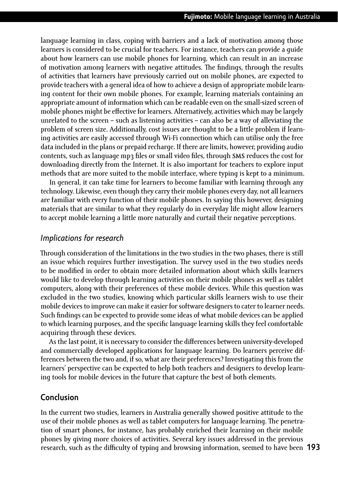language learning in class, coping with barriers and a lack of motivation among those learners is considered to be crucial for teachers. For instance, teachers can provide a guide about how learners can use mobile phones for learning, which can result in an increase of motivation among learners with negative attitudes. The findings, through the results of activities that learners have previously carried out on mobile phones, are expected to provide teachers with a general idea of how to achieve a design of appropriate mobile learning content for their own mobile phones. For example, learning materials containing an appropriate amount of information which can be readable even on the small-sized screen of mobile phones might be effective for learners. Alternatively, activities which may be largely unrelated to the screen – such as listening activities – can also be a way of alleviating the problem of screen size. Additionally, cost issues are thought to be a little problem if learning activities are easily accessed through Wi-Fi connection which can utilise only the free data included in the plans or prepaid recharge. If there are limits, however, providing audio contents, such as language mp3 files or small video files, through **SMS** reduces the cost for downloading directly from the Internet. It is also important for teachers to explore input methods that are more suited to the mobile interface, where typing is kept to a minimum.

In general, it can take time for learners to become familiar with learning through any technology. Likewise, even though they carry their mobile phones every day, not all learners are familiar with every function of their mobile phones. In saying this however, designing materials that are similar to what they regularly do in everyday life might allow learners to accept mobile learning a little more naturally and curtail their negative perceptions.

#### *Implications for research*

Through consideration of the limitations in the two studies in the two phases, there is still an issue which requires further investigation. The survey used in the two studies needs to be modified in order to obtain more detailed information about which skills learners would like to develop through learning activities on their mobile phones as well as tablet computers, along with their preferences of these mobile devices. While this question was excluded in the two studies, knowing which particular skills learners wish to use their mobile devices to improve can make it easier for software designers to cater to learner needs. Such findings can be expected to provide some ideas of what mobile devices can be applied to which learning purposes, and the specific language learning skills they feel comfortable acquiring through these devices.

As the last point, it is necessary to consider the differences between university-developed and commercially developed applications for language learning. Do learners perceive differences between the two and, if so, what are their preferences? Investigating this from the learners' perspective can be expected to help both teachers and designers to develop learning tools for mobile devices in the future that capture the best of both elements.

#### **Conclusion**

**193** research, such as the difficulty of typing and browsing information, seemed to have been In the current two studies, learners in Australia generally showed positive attitude to the use of their mobile phones as well as tablet computers for language learning. The penetration of smart phones, for instance, has probably enriched their learning on their mobile phones by giving more choices of activities. Several key issues addressed in the previous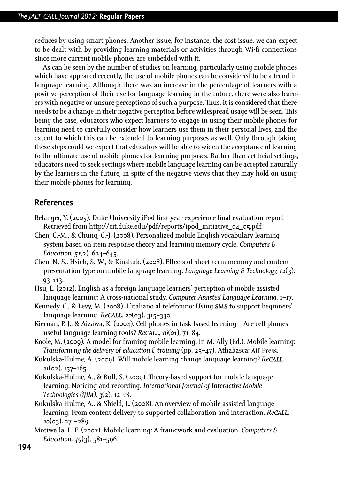reduces by using smart phones. Another issue, for instance, the cost issue, we can expect to be dealt with by providing learning materials or activities through Wi-fi connections since more current mobile phones are embedded with it.

As can be seen by the number of studies on learning, particularly using mobile phones which have appeared recently, the use of mobile phones can be considered to be a trend in language learning. Although there was an increase in the percentage of learners with a positive perception of their use for language learning in the future, there were also learners with negative or unsure perceptions of such a purpose. Thus, it is considered that there needs to be a change in their negative perception before widespread usage will be seen. This being the case, educators who expect learners to engage in using their mobile phones for learning need to carefully consider how learners use them in their personal lives, and the extent to which this can be extended to learning purposes as well. Only through taking these steps could we expect that educators will be able to widen the acceptance of learning to the ultimate use of mobile phones for learning purposes. Rather than artificial settings, educators need to seek settings where mobile language learning can be accepted naturally by the learners in the future, in spite of the negative views that they may hold on using their mobile phones for learning.

### **References**

- Belanger, Y. (2005). Duke University iPod first year experience final evaluation report Retrieved from http://cit.duke.edu/pdf/reports/ipod\_initiative\_04\_05.pdf.
- Chen, C.-M., & Chung, C.-J. (2008). Personalized mobile English vocabulary learning system based on item response theory and learning memory cycle. *Computers & Education, 51*(2), 624–645.
- Chen, N.-S., Hsieh, S.-W., & Kinshuk. (2008). Effects of short-term memory and content presentation type on mobile language learning. *Language Learning & Technology, 12*(3), 93–113.
- Hsu, L. (2012). English as a foreign language learners' perception of mobile assisted language learning: A cross-national study. *Computer Assisted Language Learning*, 1–17.
- Kennedy, C., & Levy, M. (2008). L'italiano al telefonino: Using SMS to support beginners' language learning. *ReCALL, 20*(03), 315–330.
- Kiernan, P. J., & Aizawa, K. (2004). Cell phones in task based learning Are cell phones useful language learning tools? *ReCALL, 16*(01), 71–84.
- Koole, M. (2009). A model for framing mobile learning. In M. Ally (Ed.), Mobile learning: *Transforming the delivery of education & training* (pp. 25–47). Athabasca: AU Press.
- Kukulska-Hulme, A. (2009). Will mobile learning change language learning? *ReCALL, 21*(02), 157–165.
- Kukulska-Hulme, A., & Bull, S. (2009). Theory-based support for mobile language learning: Noticing and recording. *International Journal of Interactive Mobile Technologies (iJIM), 3*(2), 12–18.
- Kukulska-Hulme, A., & Shield, L. (2008). An overview of mobile assisted language learning: From content delivery to supported collaboration and interaction. *ReCALL, 20*(03), 271–289.
- Motiwalla, L. F. (2007). Mobile learning: A framework and evaluation. *Computers & Education, 49*(3), 581–596.